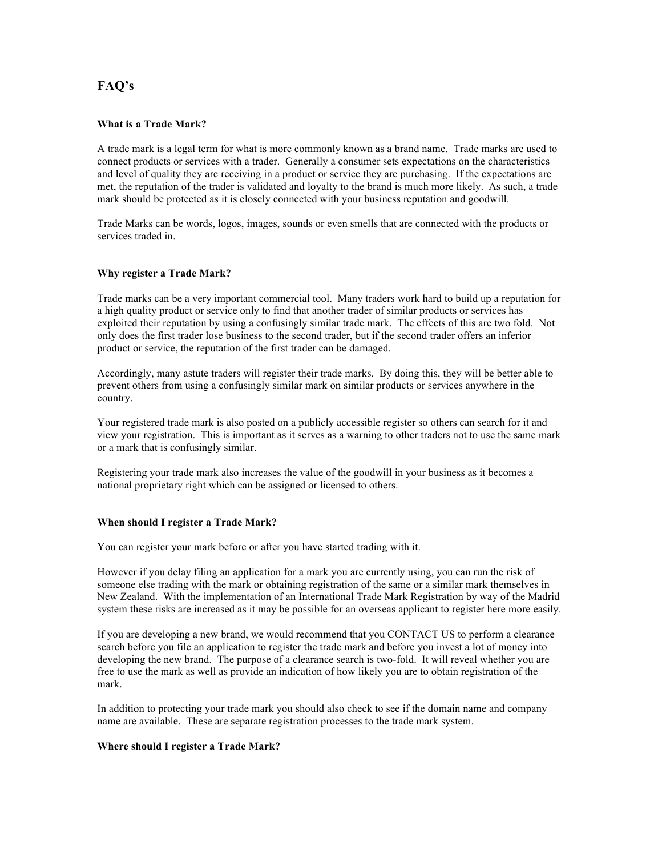# **FAQ's**

## **What is a Trade Mark?**

A trade mark is a legal term for what is more commonly known as a brand name. Trade marks are used to connect products or services with a trader. Generally a consumer sets expectations on the characteristics and level of quality they are receiving in a product or service they are purchasing. If the expectations are met, the reputation of the trader is validated and loyalty to the brand is much more likely. As such, a trade mark should be protected as it is closely connected with your business reputation and goodwill.

Trade Marks can be words, logos, images, sounds or even smells that are connected with the products or services traded in.

### **Why register a Trade Mark?**

Trade marks can be a very important commercial tool. Many traders work hard to build up a reputation for a high quality product or service only to find that another trader of similar products or services has exploited their reputation by using a confusingly similar trade mark. The effects of this are two fold. Not only does the first trader lose business to the second trader, but if the second trader offers an inferior product or service, the reputation of the first trader can be damaged.

Accordingly, many astute traders will register their trade marks. By doing this, they will be better able to prevent others from using a confusingly similar mark on similar products or services anywhere in the country.

Your registered trade mark is also posted on a publicly accessible register so others can search for it and view your registration. This is important as it serves as a warning to other traders not to use the same mark or a mark that is confusingly similar.

Registering your trade mark also increases the value of the goodwill in your business as it becomes a national proprietary right which can be assigned or licensed to others.

### **When should I register a Trade Mark?**

You can register your mark before or after you have started trading with it.

However if you delay filing an application for a mark you are currently using, you can run the risk of someone else trading with the mark or obtaining registration of the same or a similar mark themselves in New Zealand. With the implementation of an International Trade Mark Registration by way of the Madrid system these risks are increased as it may be possible for an overseas applicant to register here more easily.

If you are developing a new brand, we would recommend that you CONTACT US to perform a clearance search before you file an application to register the trade mark and before you invest a lot of money into developing the new brand. The purpose of a clearance search is two-fold. It will reveal whether you are free to use the mark as well as provide an indication of how likely you are to obtain registration of the mark.

In addition to protecting your trade mark you should also check to see if the domain name and company name are available. These are separate registration processes to the trade mark system.

### **Where should I register a Trade Mark?**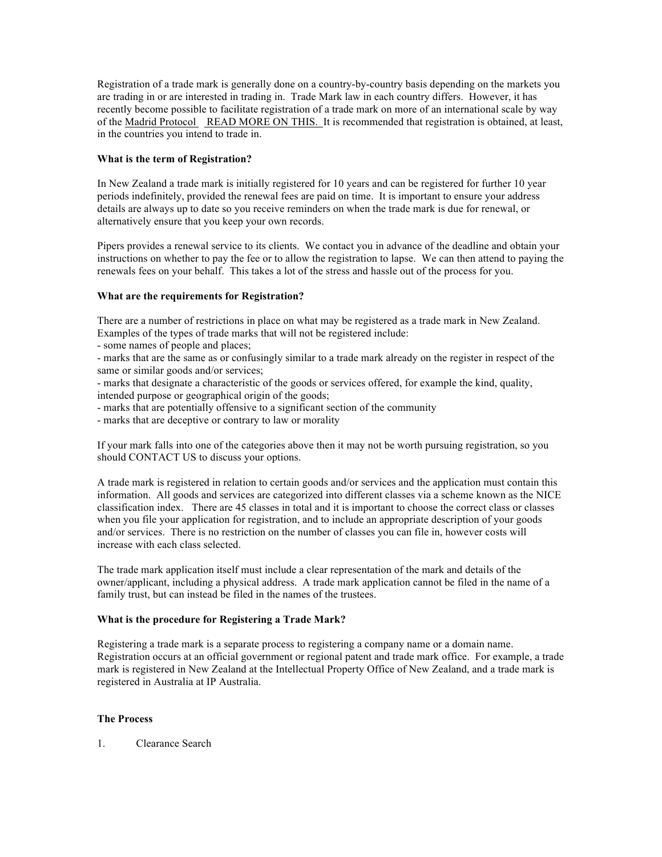Registration of a trade mark is generally done on a country-by-country basis depending on the markets you are trading in or are interested in trading in. Trade Mark law in each country differs. However, it has recently become possible to facilitate registration of a trade mark on more of an international scale by way of the Madrid Protocol READ MORE ON THIS. It is recommended that registration is obtained, at least, in the countries you intend to trade in.

# **What is the term of Registration?**

In New Zealand a trade mark is initially registered for 10 years and can be registered for further 10 year periods indefinitely, provided the renewal fees are paid on time. It is important to ensure your address details are always up to date so you receive reminders on when the trade mark is due for renewal, or alternatively ensure that you keep your own records.

Pipers provides a renewal service to its clients. We contact you in advance of the deadline and obtain your instructions on whether to pay the fee or to allow the registration to lapse. We can then attend to paying the renewals fees on your behalf. This takes a lot of the stress and hassle out of the process for you.

### **What are the requirements for Registration?**

There are a number of restrictions in place on what may be registered as a trade mark in New Zealand. Examples of the types of trade marks that will not be registered include:

- some names of people and places;

- marks that are the same as or confusingly similar to a trade mark already on the register in respect of the same or similar goods and/or services;

- marks that designate a characteristic of the goods or services offered, for example the kind, quality, intended purpose or geographical origin of the goods;

- marks that are potentially offensive to a significant section of the community

- marks that are deceptive or contrary to law or morality

If your mark falls into one of the categories above then it may not be worth pursuing registration, so you should CONTACT US to discuss your options.

A trade mark is registered in relation to certain goods and/or services and the application must contain this information. All goods and services are categorized into different classes via a scheme known as the NICE classification index. There are 45 classes in total and it is important to choose the correct class or classes when you file your application for registration, and to include an appropriate description of your goods and/or services. There is no restriction on the number of classes you can file in, however costs will increase with each class selected.

The trade mark application itself must include a clear representation of the mark and details of the owner/applicant, including a physical address. A trade mark application cannot be filed in the name of a family trust, but can instead be filed in the names of the trustees.

# **What is the procedure for Registering a Trade Mark?**

Registering a trade mark is a separate process to registering a company name or a domain name. Registration occurs at an official government or regional patent and trade mark office. For example, a trade mark is registered in New Zealand at the Intellectual Property Office of New Zealand, and a trade mark is registered in Australia at IP Australia.

# **The Process**

1. Clearance Search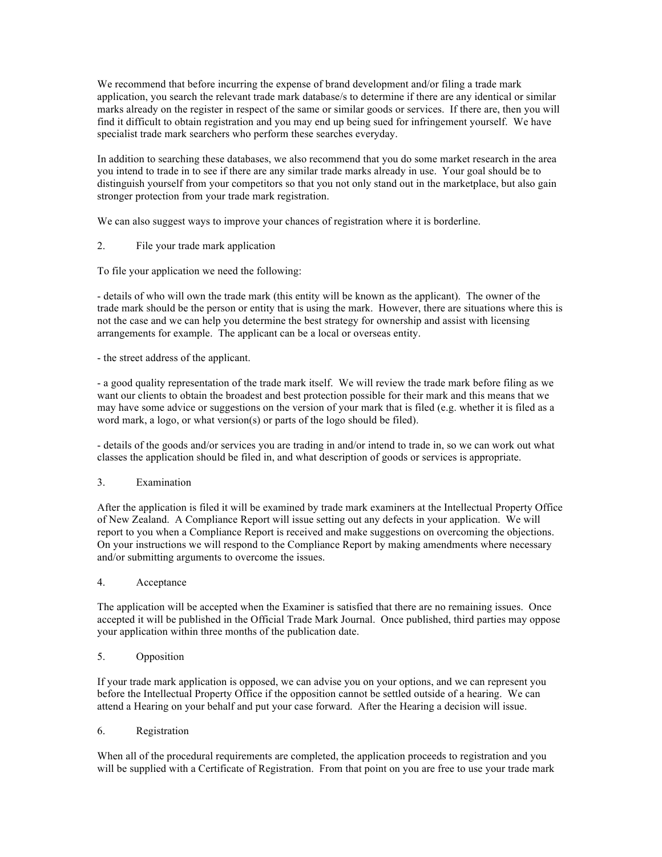We recommend that before incurring the expense of brand development and/or filing a trade mark application, you search the relevant trade mark database/s to determine if there are any identical or similar marks already on the register in respect of the same or similar goods or services. If there are, then you will find it difficult to obtain registration and you may end up being sued for infringement yourself. We have specialist trade mark searchers who perform these searches everyday.

In addition to searching these databases, we also recommend that you do some market research in the area you intend to trade in to see if there are any similar trade marks already in use. Your goal should be to distinguish yourself from your competitors so that you not only stand out in the marketplace, but also gain stronger protection from your trade mark registration.

We can also suggest ways to improve your chances of registration where it is borderline.

# 2. File your trade mark application

To file your application we need the following:

- details of who will own the trade mark (this entity will be known as the applicant). The owner of the trade mark should be the person or entity that is using the mark. However, there are situations where this is not the case and we can help you determine the best strategy for ownership and assist with licensing arrangements for example. The applicant can be a local or overseas entity.

- the street address of the applicant.

- a good quality representation of the trade mark itself. We will review the trade mark before filing as we want our clients to obtain the broadest and best protection possible for their mark and this means that we may have some advice or suggestions on the version of your mark that is filed (e.g. whether it is filed as a word mark, a logo, or what version(s) or parts of the logo should be filed).

- details of the goods and/or services you are trading in and/or intend to trade in, so we can work out what classes the application should be filed in, and what description of goods or services is appropriate.

# 3. Examination

After the application is filed it will be examined by trade mark examiners at the Intellectual Property Office of New Zealand. A Compliance Report will issue setting out any defects in your application. We will report to you when a Compliance Report is received and make suggestions on overcoming the objections. On your instructions we will respond to the Compliance Report by making amendments where necessary and/or submitting arguments to overcome the issues.

# 4. Acceptance

The application will be accepted when the Examiner is satisfied that there are no remaining issues. Once accepted it will be published in the Official Trade Mark Journal. Once published, third parties may oppose your application within three months of the publication date.

# 5. Opposition

If your trade mark application is opposed, we can advise you on your options, and we can represent you before the Intellectual Property Office if the opposition cannot be settled outside of a hearing. We can attend a Hearing on your behalf and put your case forward. After the Hearing a decision will issue.

# 6. Registration

When all of the procedural requirements are completed, the application proceeds to registration and you will be supplied with a Certificate of Registration. From that point on you are free to use your trade mark